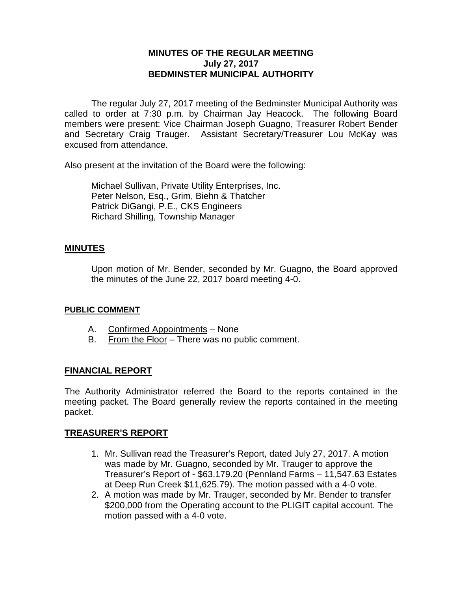# **MINUTES OF THE REGULAR MEETING July 27, 2017 BEDMINSTER MUNICIPAL AUTHORITY**

The regular July 27, 2017 meeting of the Bedminster Municipal Authority was called to order at 7:30 p.m. by Chairman Jay Heacock. The following Board members were present: Vice Chairman Joseph Guagno, Treasurer Robert Bender and Secretary Craig Trauger. Assistant Secretary/Treasurer Lou McKay was excused from attendance.

Also present at the invitation of the Board were the following:

Michael Sullivan, Private Utility Enterprises, Inc. Peter Nelson, Esq., Grim, Biehn & Thatcher Patrick DiGangi, P.E., CKS Engineers Richard Shilling, Township Manager

# **MINUTES**

Upon motion of Mr. Bender, seconded by Mr. Guagno, the Board approved the minutes of the June 22, 2017 board meeting 4-0.

### **PUBLIC COMMENT**

- A. Confirmed Appointments None
- B. From the Floor There was no public comment.

# **FINANCIAL REPORT**

The Authority Administrator referred the Board to the reports contained in the meeting packet. The Board generally review the reports contained in the meeting packet.

# **TREASURER'S REPORT**

- 1. Mr. Sullivan read the Treasurer's Report, dated July 27, 2017. A motion was made by Mr. Guagno, seconded by Mr. Trauger to approve the Treasurer's Report of - \$63,179.20 (Pennland Farms – 11,547.63 Estates at Deep Run Creek \$11,625.79). The motion passed with a 4-0 vote.
- 2. A motion was made by Mr. Trauger, seconded by Mr. Bender to transfer \$200,000 from the Operating account to the PLIGIT capital account. The motion passed with a 4-0 vote.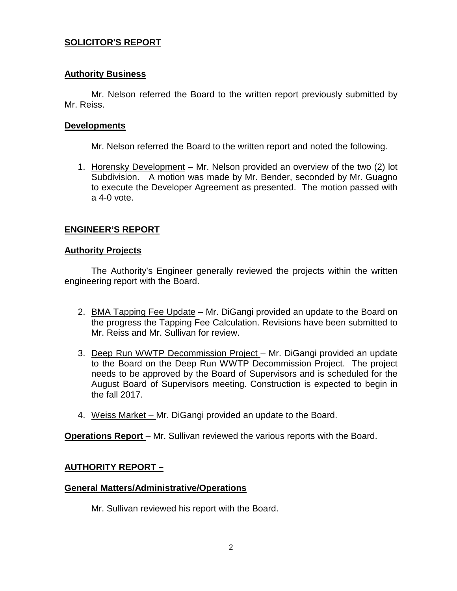# **SOLICITOR'S REPORT**

### **Authority Business**

Mr. Nelson referred the Board to the written report previously submitted by Mr. Reiss.

### **Developments**

Mr. Nelson referred the Board to the written report and noted the following.

1. Horensky Development – Mr. Nelson provided an overview of the two (2) lot Subdivision. A motion was made by Mr. Bender, seconded by Mr. Guagno to execute the Developer Agreement as presented. The motion passed with a 4-0 vote.

# **ENGINEER'S REPORT**

### **Authority Projects**

The Authority's Engineer generally reviewed the projects within the written engineering report with the Board.

- 2. BMA Tapping Fee Update Mr. DiGangi provided an update to the Board on the progress the Tapping Fee Calculation. Revisions have been submitted to Mr. Reiss and Mr. Sullivan for review.
- 3. Deep Run WWTP Decommission Project Mr. DiGangi provided an update to the Board on the Deep Run WWTP Decommission Project. The project needs to be approved by the Board of Supervisors and is scheduled for the August Board of Supervisors meeting. Construction is expected to begin in the fall 2017.
- 4. Weiss Market Mr. DiGangi provided an update to the Board.

**Operations Report** – Mr. Sullivan reviewed the various reports with the Board.

# **AUTHORITY REPORT –**

### **General Matters/Administrative/Operations**

Mr. Sullivan reviewed his report with the Board.